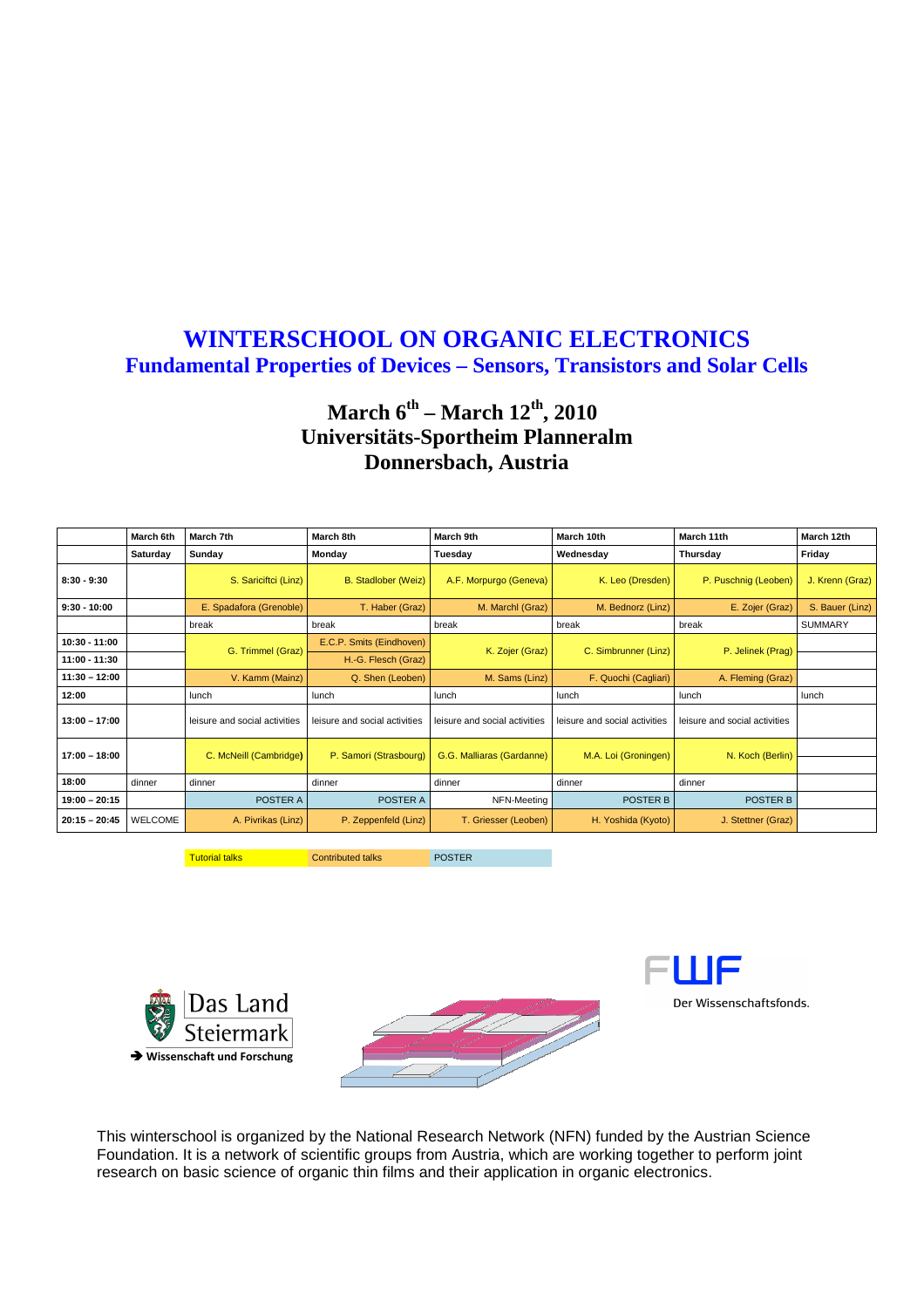### **WINTERSCHOOL ON ORGANIC ELECTRONICS Fundamental Properties of Devices – Sensors, Transistors and Solar Cells**

### **March 6th – March 12th, 2010 Universitäts-Sportheim Planneralm Donnersbach, Austria**

|                 | March 6th      | March 7th                     | March 8th                     | March 9th                     | March 10th                    | March 11th                    | March 12th      |
|-----------------|----------------|-------------------------------|-------------------------------|-------------------------------|-------------------------------|-------------------------------|-----------------|
|                 | Saturday       | Sunday                        | Monday                        | Tuesday                       | Wednesday                     | Thursday                      | Friday          |
| $8:30 - 9:30$   |                | S. Sariciftci (Linz)          | <b>B.</b> Stadlober (Weiz)    | A.F. Morpurgo (Geneva)        | K. Leo (Dresden)              | P. Puschnig (Leoben)          | J. Krenn (Graz) |
| $9:30 - 10:00$  |                | E. Spadafora (Grenoble)       | T. Haber (Graz)               | M. Marchl (Graz)              | M. Bednorz (Linz)             | E. Zojer (Graz)               | S. Bauer (Linz) |
|                 |                | break                         | break                         | break                         | break                         | break                         | <b>SUMMARY</b>  |
| $10:30 - 11:00$ |                | G. Trimmel (Graz)             | E.C.P. Smits (Eindhoven)      | K. Zojer (Graz)               | C. Simbrunner (Linz)          | P. Jelinek (Prag)             |                 |
| $11:00 - 11:30$ |                |                               | H.-G. Flesch (Graz)           |                               |                               |                               |                 |
| $11:30 - 12:00$ |                | V. Kamm (Mainz)               | Q. Shen (Leoben)              | M. Sams (Linz)                | F. Quochi (Cagliari)          | A. Fleming (Graz)             |                 |
| 12:00           |                | lunch                         | lunch                         | lunch                         | lunch                         | lunch                         | lunch           |
| $13:00 - 17:00$ |                | leisure and social activities | leisure and social activities | leisure and social activities | leisure and social activities | leisure and social activities |                 |
| $17:00 - 18:00$ |                | C. McNeill (Cambridge)        | P. Samori (Strasbourg)        | G.G. Malliaras (Gardanne)     | M.A. Loi (Groningen)          | N. Koch (Berlin)              |                 |
| 18:00           | dinner         | dinner                        | dinner                        | dinner                        | dinner                        | dinner                        |                 |
| 19:00 - 20:15   |                | POSTER A                      | POSTER A                      | NFN-Meeting                   | POSTER B                      | POSTER B                      |                 |
| $20:15 - 20:45$ | <b>WELCOME</b> | A. Pivrikas (Linz)            | P. Zeppenfeld (Linz)          | T. Griesser (Leoben)          | H. Yoshida (Kyoto)            | J. Stettner (Graz)            |                 |

Tutorial talks **Contributed talks** POSTER







This winterschool is organized by the National Research Network (NFN) funded by the Austrian Science Foundation. It is a network of scientific groups from Austria, which are working together to perform joint research on basic science of organic thin films and their application in organic electronics.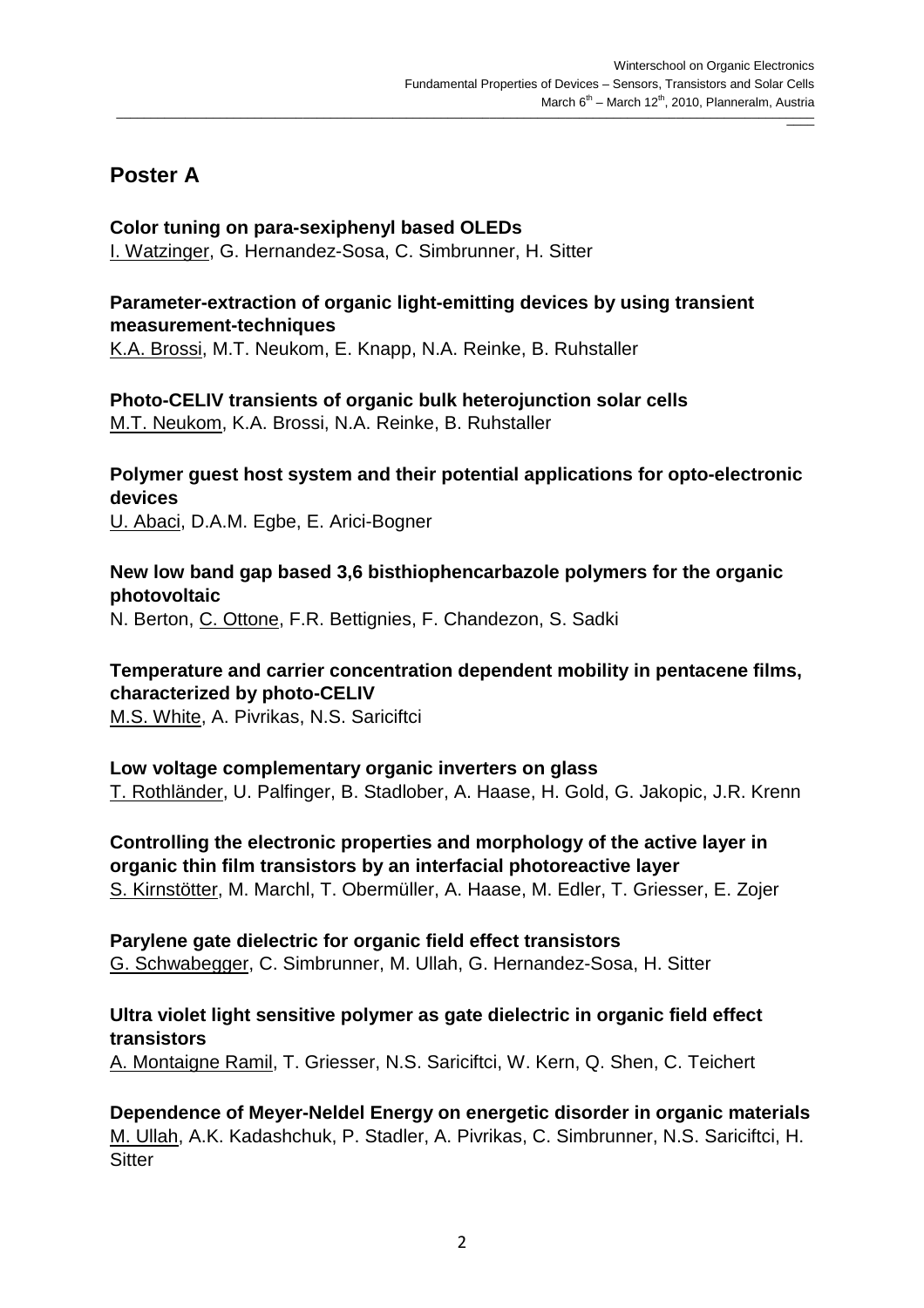### **Poster A**

### **Color tuning on para-sexiphenyl based OLEDs**

I. Watzinger, G. Hernandez-Sosa, C. Simbrunner, H. Sitter

#### **Parameter-extraction of organic light-emitting devices by using transient measurement-techniques**

K.A. Brossi, M.T. Neukom, E. Knapp, N.A. Reinke, B. Ruhstaller

#### **Photo-CELIV transients of organic bulk heterojunction solar cells**  M.T. Neukom, K.A. Brossi, N.A. Reinke, B. Ruhstaller

### **Polymer guest host system and their potential applications for opto-electronic devices**

U. Abaci, D.A.M. Egbe, E. Arici-Bogner

### **New low band gap based 3,6 bisthiophencarbazole polymers for the organic photovoltaic**

N. Berton, C. Ottone, F.R. Bettignies, F. Chandezon, S. Sadki

### **Temperature and carrier concentration dependent mobility in pentacene films, characterized by photo-CELIV**

M.S. White, A. Pivrikas, N.S. Sariciftci

### **Low voltage complementary organic inverters on glass**

T. Rothländer, U. Palfinger, B. Stadlober, A. Haase, H. Gold, G. Jakopic, J.R. Krenn

**Controlling the electronic properties and morphology of the active layer in organic thin film transistors by an interfacial photoreactive layer**  S. Kirnstötter, M. Marchl, T. Obermüller, A. Haase, M. Edler, T. Griesser, E. Zojer

### **Parylene gate dielectric for organic field effect transistors**

G. Schwabegger, C. Simbrunner, M. Ullah, G. Hernandez-Sosa, H. Sitter

### **Ultra violet light sensitive polymer as gate dielectric in organic field effect transistors**

A. Montaigne Ramil, T. Griesser, N.S. Sariciftci, W. Kern, Q. Shen, C. Teichert

**Dependence of Meyer-Neldel Energy on energetic disorder in organic materials**  M. Ullah, A.K. Kadashchuk, P. Stadler, A. Pivrikas, C. Simbrunner, N.S. Sariciftci, H. **Sitter**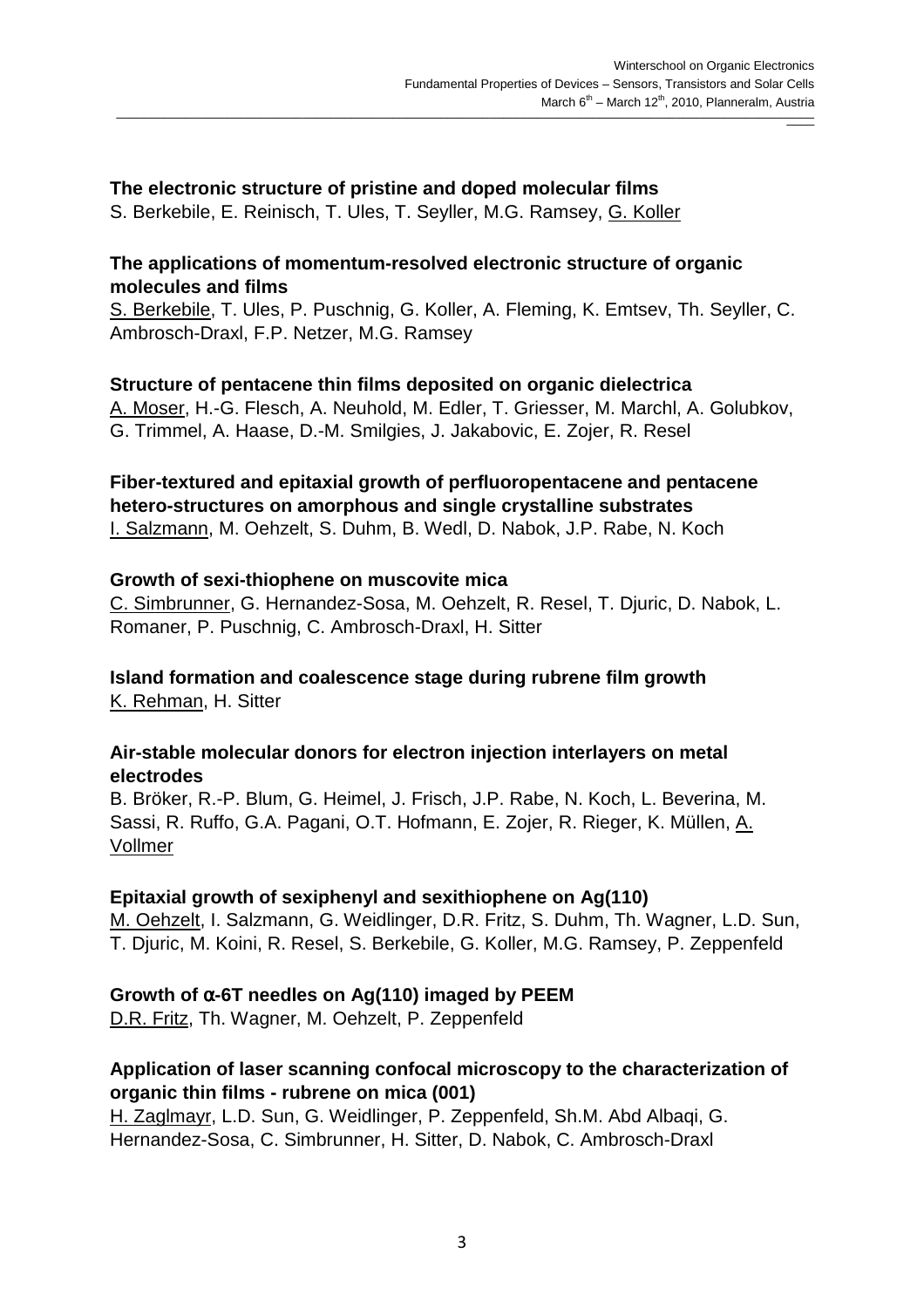### **The electronic structure of pristine and doped molecular films**

S. Berkebile, E. Reinisch, T. Ules, T. Seyller, M.G. Ramsey, G. Koller

### **The applications of momentum-resolved electronic structure of organic molecules and films**

S. Berkebile, T. Ules, P. Puschnig, G. Koller, A. Fleming, K. Emtsev, Th. Seyller, C. Ambrosch-Draxl, F.P. Netzer, M.G. Ramsey

### **Structure of pentacene thin films deposited on organic dielectrica**

A. Moser, H.-G. Flesch, A. Neuhold, M. Edler, T. Griesser, M. Marchl, A. Golubkov, G. Trimmel, A. Haase, D.-M. Smilgies, J. Jakabovic, E. Zojer, R. Resel

#### **Fiber-textured and epitaxial growth of perfluoropentacene and pentacene hetero-structures on amorphous and single crystalline substrates**  I. Salzmann, M. Oehzelt, S. Duhm, B. Wedl, D. Nabok, J.P. Rabe, N. Koch

### **Growth of sexi-thiophene on muscovite mica**

C. Simbrunner, G. Hernandez-Sosa, M. Oehzelt, R. Resel, T. Djuric, D. Nabok, L. Romaner, P. Puschnig, C. Ambrosch-Draxl, H. Sitter

#### **Island formation and coalescence stage during rubrene film growth**  K. Rehman, H. Sitter

### **Air-stable molecular donors for electron injection interlayers on metal electrodes**

B. Bröker, R.-P. Blum, G. Heimel, J. Frisch, J.P. Rabe, N. Koch, L. Beverina, M. Sassi, R. Ruffo, G.A. Pagani, O.T. Hofmann, E. Zojer, R. Rieger, K. Müllen, A. Vollmer

### **Epitaxial growth of sexiphenyl and sexithiophene on Ag(110)**

M. Oehzelt, I. Salzmann, G. Weidlinger, D.R. Fritz, S. Duhm, Th. Wagner, L.D. Sun, T. Djuric, M. Koini, R. Resel, S. Berkebile, G. Koller, M.G. Ramsey, P. Zeppenfeld

### **Growth of** α**-6T needles on Ag(110) imaged by PEEM**

D.R. Fritz, Th. Wagner, M. Oehzelt, P. Zeppenfeld

### **Application of laser scanning confocal microscopy to the characterization of organic thin films - rubrene on mica (001)**

H. Zaglmayr, L.D. Sun, G. Weidlinger, P. Zeppenfeld, Sh.M. Abd Albaqi, G. Hernandez-Sosa, C. Simbrunner, H. Sitter, D. Nabok, C. Ambrosch-Draxl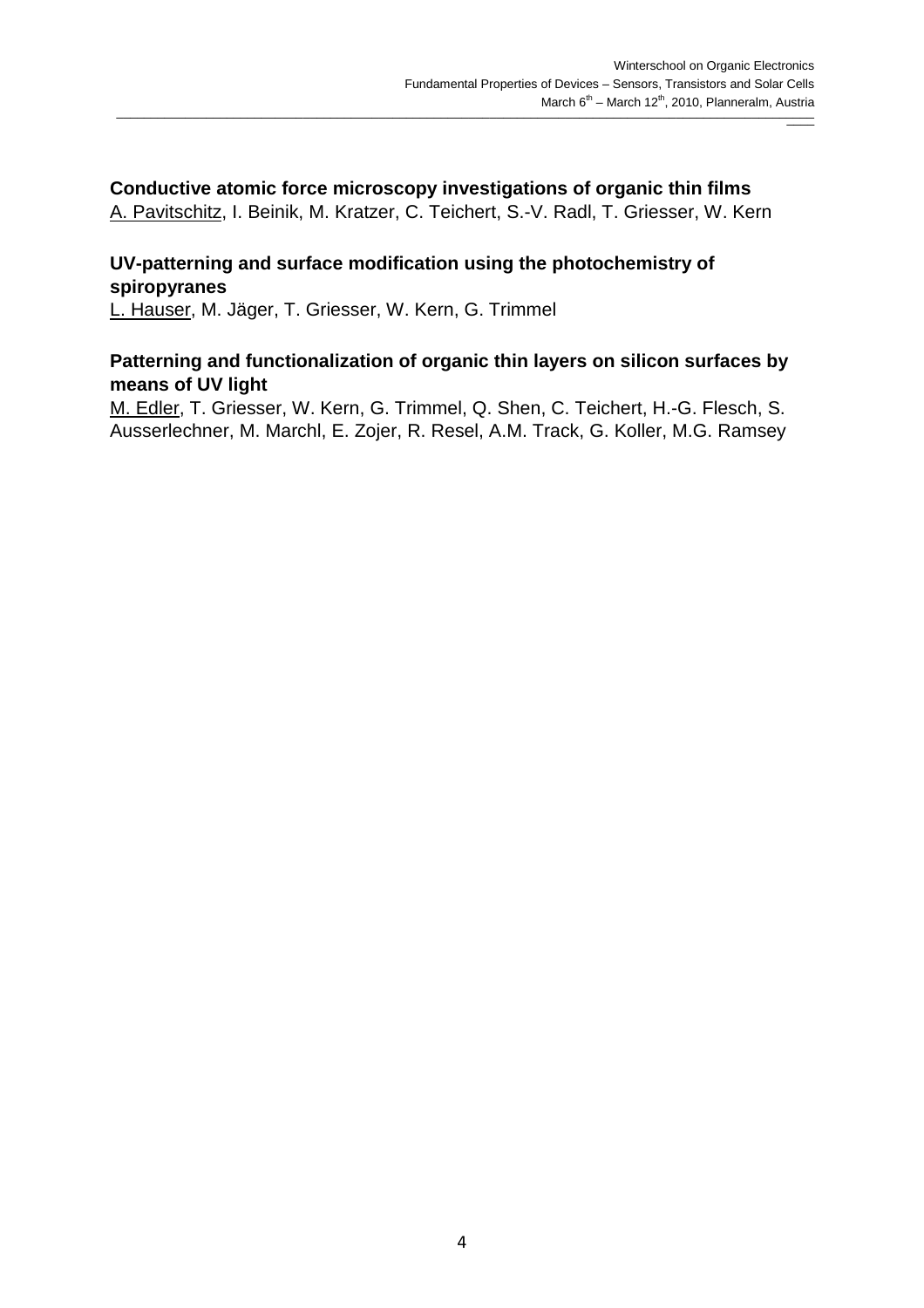## **Conductive atomic force microscopy investigations of organic thin films**

A. Pavitschitz, I. Beinik, M. Kratzer, C. Teichert, S.-V. Radl, T. Griesser, W. Kern

### **UV-patterning and surface modification using the photochemistry of spiropyranes**

L. Hauser, M. Jäger, T. Griesser, W. Kern, G. Trimmel

### **Patterning and functionalization of organic thin layers on silicon surfaces by means of UV light**

M. Edler, T. Griesser, W. Kern, G. Trimmel, Q. Shen, C. Teichert, H.-G. Flesch, S. Ausserlechner, M. Marchl, E. Zojer, R. Resel, A.M. Track, G. Koller, M.G. Ramsey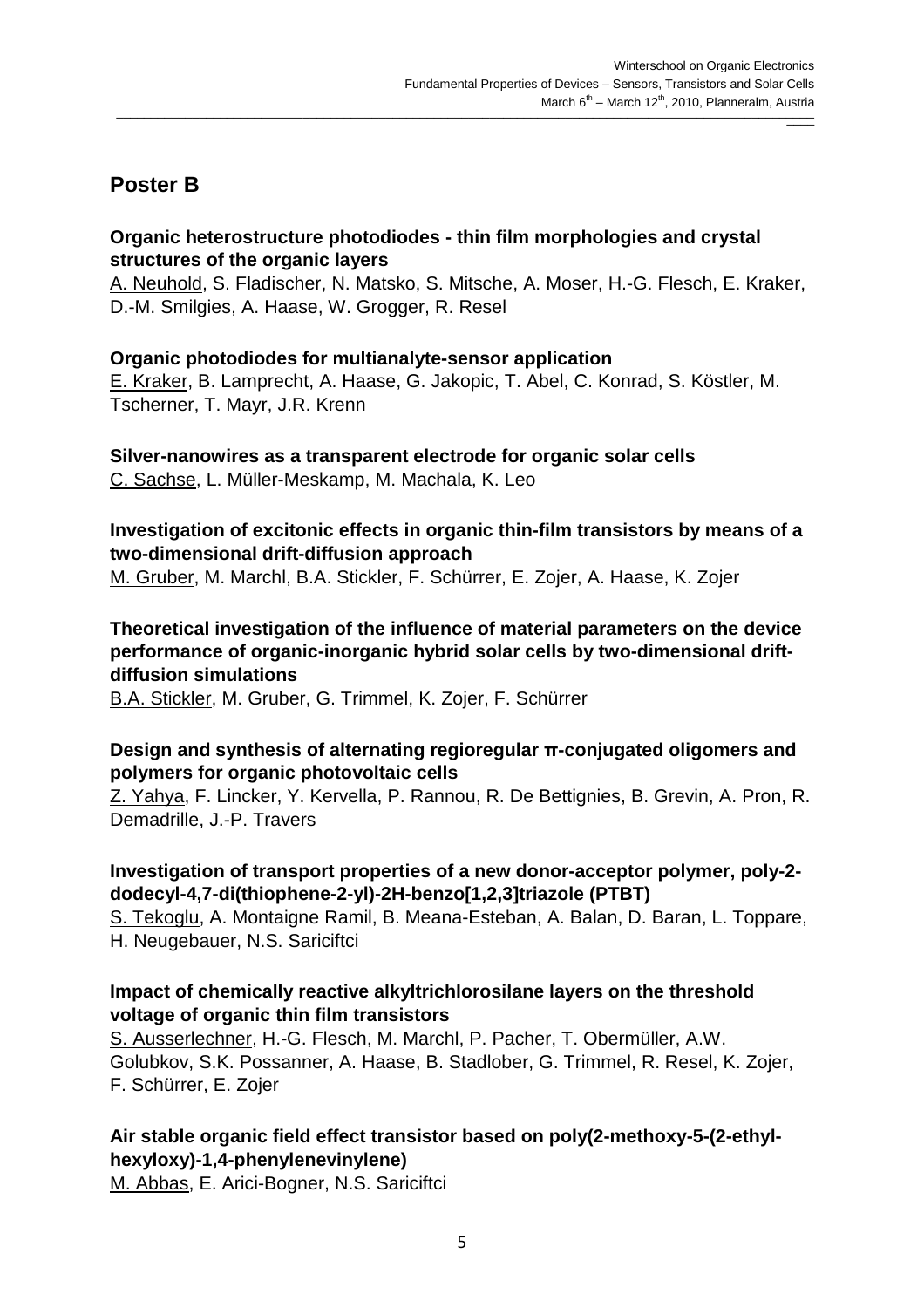### **Poster B**

### **Organic heterostructure photodiodes - thin film morphologies and crystal structures of the organic layers**

A. Neuhold, S. Fladischer, N. Matsko, S. Mitsche, A. Moser, H.-G. Flesch, E. Kraker, D.-M. Smilgies, A. Haase, W. Grogger, R. Resel

### **Organic photodiodes for multianalyte-sensor application**

E. Kraker, B. Lamprecht, A. Haase, G. Jakopic, T. Abel, C. Konrad, S. Köstler, M. Tscherner, T. Mayr, J.R. Krenn

#### **Silver-nanowires as a transparent electrode for organic solar cells**  C. Sachse, L. Müller-Meskamp, M. Machala, K. Leo

### **Investigation of excitonic effects in organic thin-film transistors by means of a two-dimensional drift-diffusion approach**

M. Gruber, M. Marchl, B.A. Stickler, F. Schürrer, E. Zojer, A. Haase, K. Zojer

### **Theoretical investigation of the influence of material parameters on the device performance of organic-inorganic hybrid solar cells by two-dimensional driftdiffusion simulations**

B.A. Stickler, M. Gruber, G. Trimmel, K. Zojer, F. Schürrer

### **Design and synthesis of alternating regioregular π-conjugated oligomers and polymers for organic photovoltaic cells**

Z. Yahya, F. Lincker, Y. Kervella, P. Rannou, R. De Bettignies, B. Grevin, A. Pron, R. Demadrille, J.-P. Travers

### **Investigation of transport properties of a new donor-acceptor polymer, poly-2 dodecyl-4,7-di(thiophene-2-yl)-2H-benzo[1,2,3]triazole (PTBT)**

S. Tekoglu, A. Montaigne Ramil, B. Meana-Esteban, A. Balan, D. Baran, L. Toppare, H. Neugebauer, N.S. Sariciftci

### **Impact of chemically reactive alkyltrichlorosilane layers on the threshold voltage of organic thin film transistors**

S. Ausserlechner, H.-G. Flesch, M. Marchl, P. Pacher, T. Obermüller, A.W. Golubkov, S.K. Possanner, A. Haase, B. Stadlober, G. Trimmel, R. Resel, K. Zojer, F. Schürrer, E. Zojer

### **Air stable organic field effect transistor based on poly(2-methoxy-5-(2-ethylhexyloxy)-1,4-phenylenevinylene)**

M. Abbas, E. Arici-Bogner, N.S. Sariciftci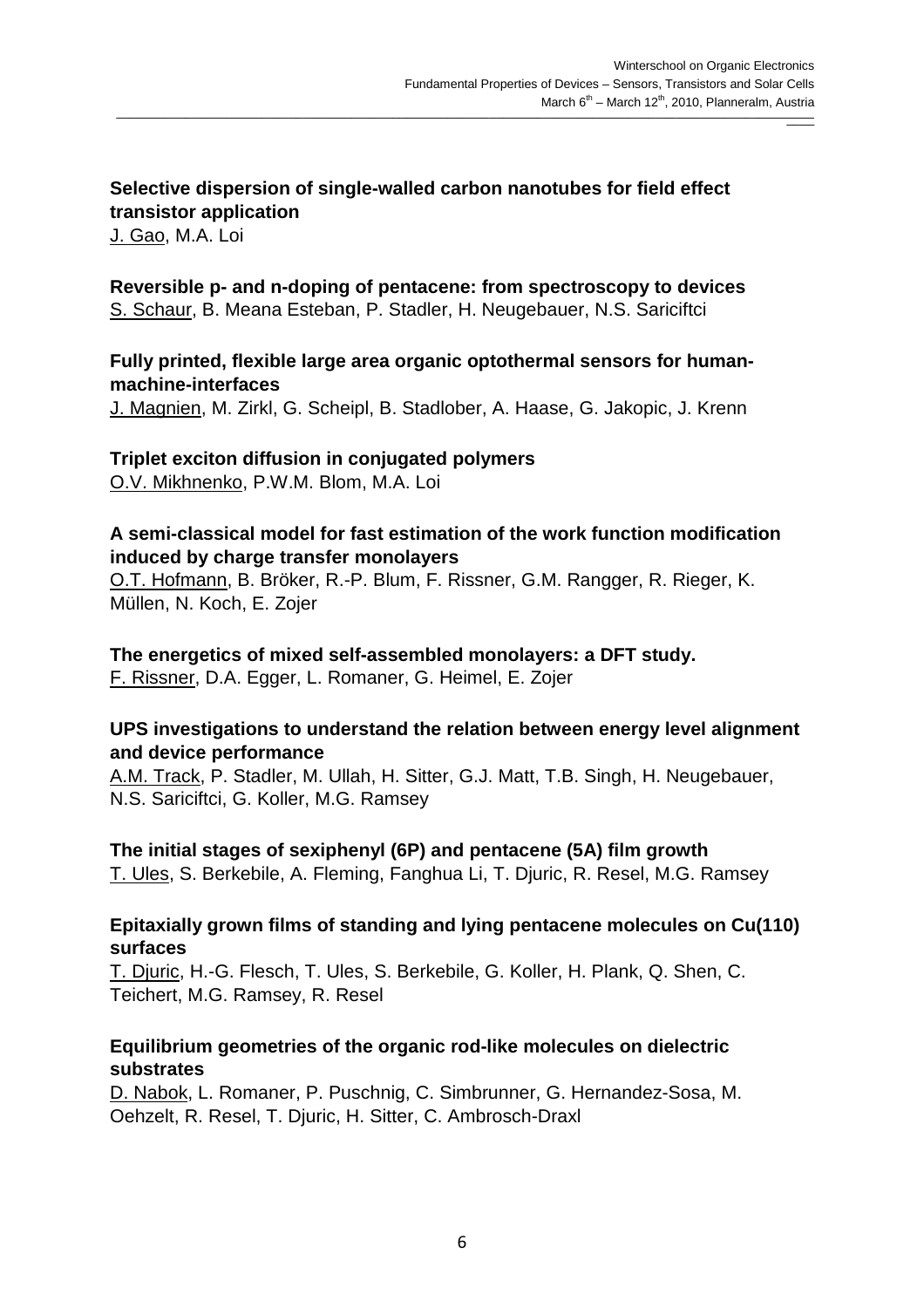### **Selective dispersion of single-walled carbon nanotubes for field effect transistor application**

J. Gao, M.A. Loi

# **Reversible p- and n-doping of pentacene: from spectroscopy to devices**

S. Schaur, B. Meana Esteban, P. Stadler, H. Neugebauer, N.S. Sariciftci

### **Fully printed, flexible large area organic optothermal sensors for humanmachine-interfaces**

J. Magnien, M. Zirkl, G. Scheipl, B. Stadlober, A. Haase, G. Jakopic, J. Krenn

#### **Triplet exciton diffusion in conjugated polymers**  O.V. Mikhnenko, P.W.M. Blom, M.A. Loi

### **A semi-classical model for fast estimation of the work function modification induced by charge transfer monolayers**

O.T. Hofmann, B. Bröker, R.-P. Blum, F. Rissner, G.M. Rangger, R. Rieger, K. Müllen, N. Koch, E. Zojer

### **The energetics of mixed self-assembled monolayers: a DFT study.**

F. Rissner, D.A. Egger, L. Romaner, G. Heimel, E. Zojer

### **UPS investigations to understand the relation between energy level alignment and device performance**

A.M. Track, P. Stadler, M. Ullah, H. Sitter, G.J. Matt, T.B. Singh, H. Neugebauer, N.S. Sariciftci, G. Koller, M.G. Ramsey

### **The initial stages of sexiphenyl (6P) and pentacene (5A) film growth**  T. Ules, S. Berkebile, A. Fleming, Fanghua Li, T. Djuric, R. Resel, M.G. Ramsey

### **Epitaxially grown films of standing and lying pentacene molecules on Cu(110) surfaces**

T. Djuric, H.-G. Flesch, T. Ules, S. Berkebile, G. Koller, H. Plank, Q. Shen, C. Teichert, M.G. Ramsey, R. Resel

### **Equilibrium geometries of the organic rod-like molecules on dielectric substrates**

D. Nabok, L. Romaner, P. Puschnig, C. Simbrunner, G. Hernandez-Sosa, M. Oehzelt, R. Resel, T. Djuric, H. Sitter, C. Ambrosch-Draxl